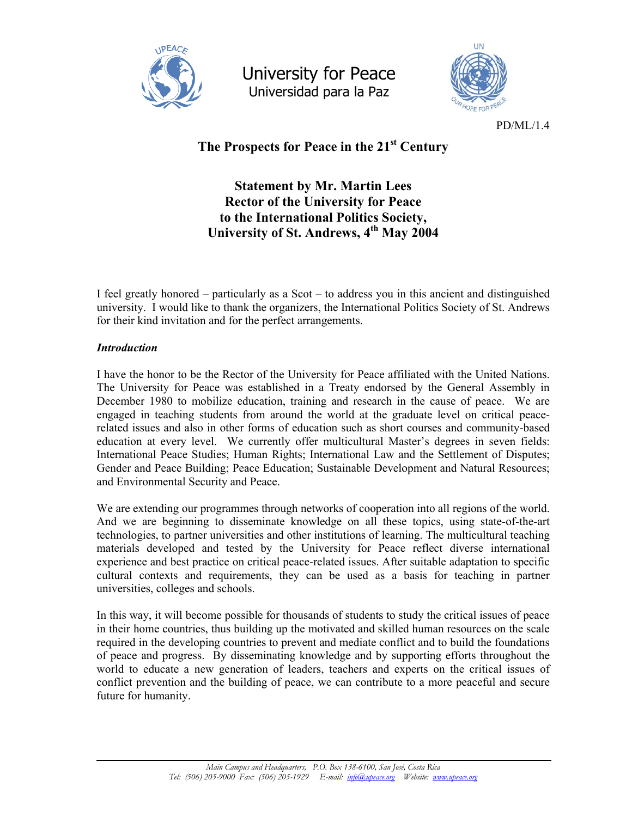

University for Peace Universidad para la Paz



PD/ML/1.4

# **The Prospects for Peace in the 21st Century**

**Statement by Mr. Martin Lees Rector of the University for Peace to the International Politics Society, University of St. Andrews, 4th May 2004** 

I feel greatly honored – particularly as a Scot – to address you in this ancient and distinguished university. I would like to thank the organizers, the International Politics Society of St. Andrews for their kind invitation and for the perfect arrangements.

# *Introduction*

I have the honor to be the Rector of the University for Peace affiliated with the United Nations. The University for Peace was established in a Treaty endorsed by the General Assembly in December 1980 to mobilize education, training and research in the cause of peace. We are engaged in teaching students from around the world at the graduate level on critical peacerelated issues and also in other forms of education such as short courses and community-based education at every level. We currently offer multicultural Master's degrees in seven fields: International Peace Studies; Human Rights; International Law and the Settlement of Disputes; Gender and Peace Building; Peace Education; Sustainable Development and Natural Resources; and Environmental Security and Peace.

We are extending our programmes through networks of cooperation into all regions of the world. And we are beginning to disseminate knowledge on all these topics, using state-of-the-art technologies, to partner universities and other institutions of learning. The multicultural teaching materials developed and tested by the University for Peace reflect diverse international experience and best practice on critical peace-related issues. After suitable adaptation to specific cultural contexts and requirements, they can be used as a basis for teaching in partner universities, colleges and schools.

In this way, it will become possible for thousands of students to study the critical issues of peace in their home countries, thus building up the motivated and skilled human resources on the scale required in the developing countries to prevent and mediate conflict and to build the foundations of peace and progress. By disseminating knowledge and by supporting efforts throughout the world to educate a new generation of leaders, teachers and experts on the critical issues of conflict prevention and the building of peace, we can contribute to a more peaceful and secure future for humanity.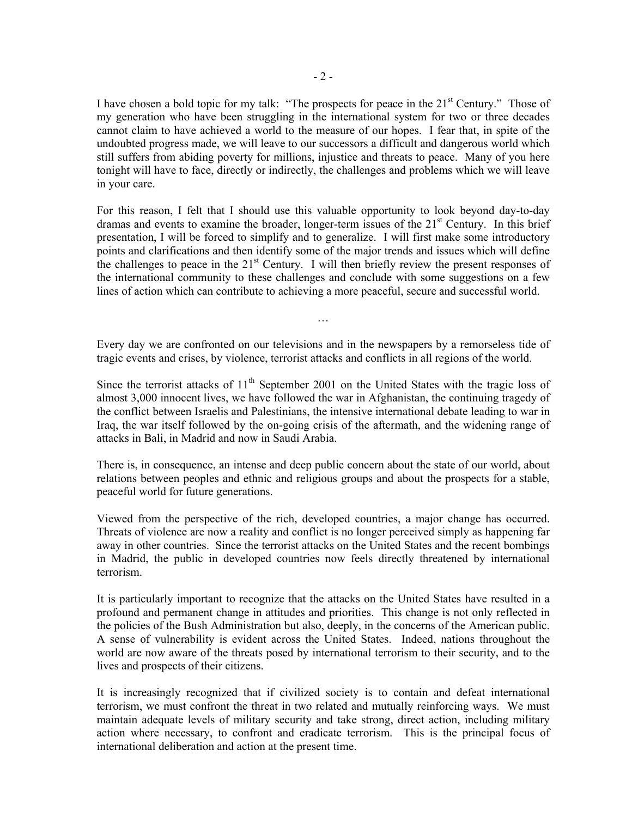I have chosen a bold topic for my talk: "The prospects for peace in the  $21<sup>st</sup>$  Century." Those of my generation who have been struggling in the international system for two or three decades cannot claim to have achieved a world to the measure of our hopes. I fear that, in spite of the undoubted progress made, we will leave to our successors a difficult and dangerous world which still suffers from abiding poverty for millions, injustice and threats to peace. Many of you here tonight will have to face, directly or indirectly, the challenges and problems which we will leave in your care.

For this reason, I felt that I should use this valuable opportunity to look beyond day-to-day dramas and events to examine the broader, longer-term issues of the  $21<sup>st</sup>$  Century. In this brief presentation, I will be forced to simplify and to generalize. I will first make some introductory points and clarifications and then identify some of the major trends and issues which will define the challenges to peace in the  $21<sup>st</sup>$  Century. I will then briefly review the present responses of the international community to these challenges and conclude with some suggestions on a few lines of action which can contribute to achieving a more peaceful, secure and successful world.

Every day we are confronted on our televisions and in the newspapers by a remorseless tide of tragic events and crises, by violence, terrorist attacks and conflicts in all regions of the world.

…

Since the terrorist attacks of  $11<sup>th</sup>$  September 2001 on the United States with the tragic loss of almost 3,000 innocent lives, we have followed the war in Afghanistan, the continuing tragedy of the conflict between Israelis and Palestinians, the intensive international debate leading to war in Iraq, the war itself followed by the on-going crisis of the aftermath, and the widening range of attacks in Bali, in Madrid and now in Saudi Arabia.

There is, in consequence, an intense and deep public concern about the state of our world, about relations between peoples and ethnic and religious groups and about the prospects for a stable, peaceful world for future generations.

Viewed from the perspective of the rich, developed countries, a major change has occurred. Threats of violence are now a reality and conflict is no longer perceived simply as happening far away in other countries. Since the terrorist attacks on the United States and the recent bombings in Madrid, the public in developed countries now feels directly threatened by international terrorism.

It is particularly important to recognize that the attacks on the United States have resulted in a profound and permanent change in attitudes and priorities. This change is not only reflected in the policies of the Bush Administration but also, deeply, in the concerns of the American public. A sense of vulnerability is evident across the United States. Indeed, nations throughout the world are now aware of the threats posed by international terrorism to their security, and to the lives and prospects of their citizens.

It is increasingly recognized that if civilized society is to contain and defeat international terrorism, we must confront the threat in two related and mutually reinforcing ways. We must maintain adequate levels of military security and take strong, direct action, including military action where necessary, to confront and eradicate terrorism. This is the principal focus of international deliberation and action at the present time.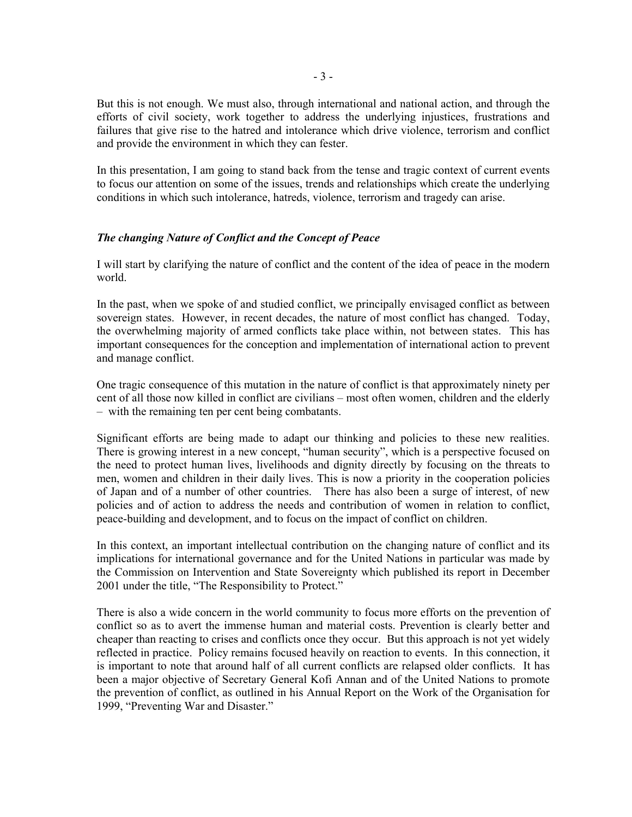But this is not enough. We must also, through international and national action, and through the efforts of civil society, work together to address the underlying injustices, frustrations and failures that give rise to the hatred and intolerance which drive violence, terrorism and conflict and provide the environment in which they can fester.

In this presentation, I am going to stand back from the tense and tragic context of current events to focus our attention on some of the issues, trends and relationships which create the underlying conditions in which such intolerance, hatreds, violence, terrorism and tragedy can arise.

# *The changing Nature of Conflict and the Concept of Peace*

I will start by clarifying the nature of conflict and the content of the idea of peace in the modern world.

In the past, when we spoke of and studied conflict, we principally envisaged conflict as between sovereign states. However, in recent decades, the nature of most conflict has changed. Today, the overwhelming majority of armed conflicts take place within, not between states. This has important consequences for the conception and implementation of international action to prevent and manage conflict.

One tragic consequence of this mutation in the nature of conflict is that approximately ninety per cent of all those now killed in conflict are civilians – most often women, children and the elderly – with the remaining ten per cent being combatants.

Significant efforts are being made to adapt our thinking and policies to these new realities. There is growing interest in a new concept, "human security", which is a perspective focused on the need to protect human lives, livelihoods and dignity directly by focusing on the threats to men, women and children in their daily lives. This is now a priority in the cooperation policies of Japan and of a number of other countries. There has also been a surge of interest, of new policies and of action to address the needs and contribution of women in relation to conflict, peace-building and development, and to focus on the impact of conflict on children.

In this context, an important intellectual contribution on the changing nature of conflict and its implications for international governance and for the United Nations in particular was made by the Commission on Intervention and State Sovereignty which published its report in December 2001 under the title, "The Responsibility to Protect."

There is also a wide concern in the world community to focus more efforts on the prevention of conflict so as to avert the immense human and material costs. Prevention is clearly better and cheaper than reacting to crises and conflicts once they occur. But this approach is not yet widely reflected in practice. Policy remains focused heavily on reaction to events. In this connection, it is important to note that around half of all current conflicts are relapsed older conflicts. It has been a major objective of Secretary General Kofi Annan and of the United Nations to promote the prevention of conflict, as outlined in his Annual Report on the Work of the Organisation for 1999, "Preventing War and Disaster."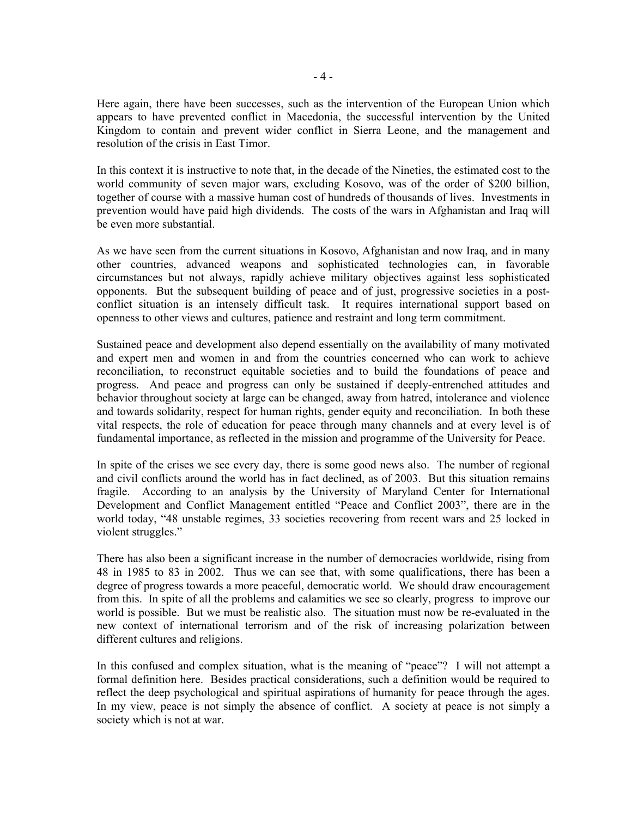Here again, there have been successes, such as the intervention of the European Union which appears to have prevented conflict in Macedonia, the successful intervention by the United Kingdom to contain and prevent wider conflict in Sierra Leone, and the management and resolution of the crisis in East Timor.

In this context it is instructive to note that, in the decade of the Nineties, the estimated cost to the world community of seven major wars, excluding Kosovo, was of the order of \$200 billion, together of course with a massive human cost of hundreds of thousands of lives. Investments in prevention would have paid high dividends. The costs of the wars in Afghanistan and Iraq will be even more substantial.

As we have seen from the current situations in Kosovo, Afghanistan and now Iraq, and in many other countries, advanced weapons and sophisticated technologies can, in favorable circumstances but not always, rapidly achieve military objectives against less sophisticated opponents. But the subsequent building of peace and of just, progressive societies in a postconflict situation is an intensely difficult task. It requires international support based on openness to other views and cultures, patience and restraint and long term commitment.

Sustained peace and development also depend essentially on the availability of many motivated and expert men and women in and from the countries concerned who can work to achieve reconciliation, to reconstruct equitable societies and to build the foundations of peace and progress. And peace and progress can only be sustained if deeply-entrenched attitudes and behavior throughout society at large can be changed, away from hatred, intolerance and violence and towards solidarity, respect for human rights, gender equity and reconciliation. In both these vital respects, the role of education for peace through many channels and at every level is of fundamental importance, as reflected in the mission and programme of the University for Peace.

In spite of the crises we see every day, there is some good news also. The number of regional and civil conflicts around the world has in fact declined, as of 2003. But this situation remains fragile. According to an analysis by the University of Maryland Center for International Development and Conflict Management entitled "Peace and Conflict 2003", there are in the world today, "48 unstable regimes, 33 societies recovering from recent wars and 25 locked in violent struggles."

There has also been a significant increase in the number of democracies worldwide, rising from 48 in 1985 to 83 in 2002. Thus we can see that, with some qualifications, there has been a degree of progress towards a more peaceful, democratic world. We should draw encouragement from this. In spite of all the problems and calamities we see so clearly, progress to improve our world is possible. But we must be realistic also. The situation must now be re-evaluated in the new context of international terrorism and of the risk of increasing polarization between different cultures and religions.

In this confused and complex situation, what is the meaning of "peace"? I will not attempt a formal definition here. Besides practical considerations, such a definition would be required to reflect the deep psychological and spiritual aspirations of humanity for peace through the ages. In my view, peace is not simply the absence of conflict. A society at peace is not simply a society which is not at war.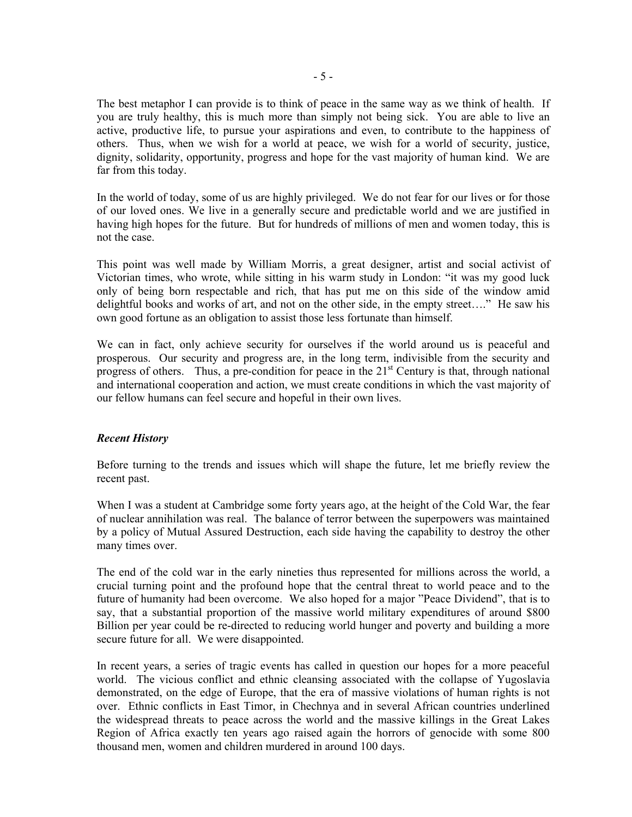The best metaphor I can provide is to think of peace in the same way as we think of health. If you are truly healthy, this is much more than simply not being sick. You are able to live an active, productive life, to pursue your aspirations and even, to contribute to the happiness of others. Thus, when we wish for a world at peace, we wish for a world of security, justice, dignity, solidarity, opportunity, progress and hope for the vast majority of human kind. We are far from this today.

In the world of today, some of us are highly privileged. We do not fear for our lives or for those of our loved ones. We live in a generally secure and predictable world and we are justified in having high hopes for the future. But for hundreds of millions of men and women today, this is not the case.

This point was well made by William Morris, a great designer, artist and social activist of Victorian times, who wrote, while sitting in his warm study in London: "it was my good luck only of being born respectable and rich, that has put me on this side of the window amid delightful books and works of art, and not on the other side, in the empty street…." He saw his own good fortune as an obligation to assist those less fortunate than himself.

We can in fact, only achieve security for ourselves if the world around us is peaceful and prosperous. Our security and progress are, in the long term, indivisible from the security and progress of others. Thus, a pre-condition for peace in the  $21<sup>st</sup>$  Century is that, through national and international cooperation and action, we must create conditions in which the vast majority of our fellow humans can feel secure and hopeful in their own lives.

#### *Recent History*

Before turning to the trends and issues which will shape the future, let me briefly review the recent past.

When I was a student at Cambridge some forty years ago, at the height of the Cold War, the fear of nuclear annihilation was real. The balance of terror between the superpowers was maintained by a policy of Mutual Assured Destruction, each side having the capability to destroy the other many times over.

The end of the cold war in the early nineties thus represented for millions across the world, a crucial turning point and the profound hope that the central threat to world peace and to the future of humanity had been overcome. We also hoped for a major "Peace Dividend", that is to say, that a substantial proportion of the massive world military expenditures of around \$800 Billion per year could be re-directed to reducing world hunger and poverty and building a more secure future for all. We were disappointed.

In recent years, a series of tragic events has called in question our hopes for a more peaceful world. The vicious conflict and ethnic cleansing associated with the collapse of Yugoslavia demonstrated, on the edge of Europe, that the era of massive violations of human rights is not over. Ethnic conflicts in East Timor, in Chechnya and in several African countries underlined the widespread threats to peace across the world and the massive killings in the Great Lakes Region of Africa exactly ten years ago raised again the horrors of genocide with some 800 thousand men, women and children murdered in around 100 days.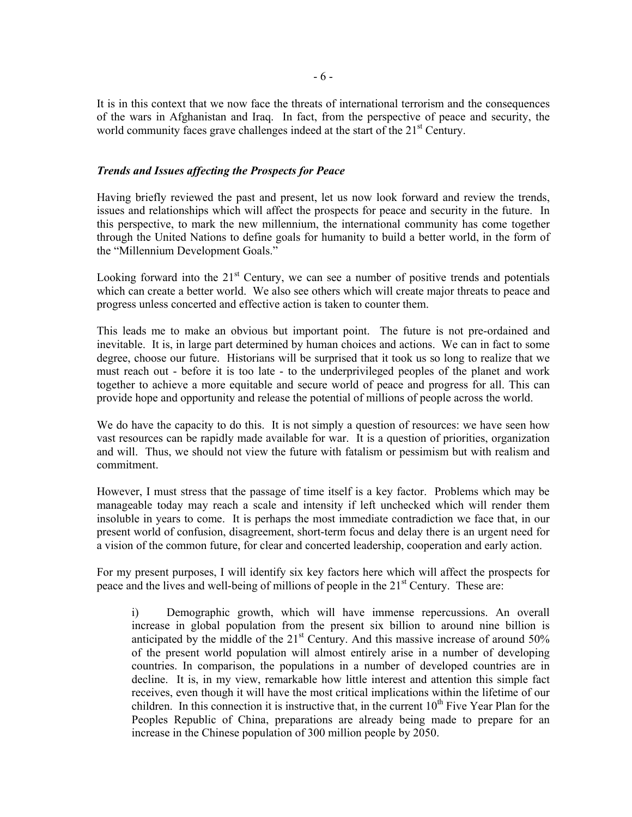It is in this context that we now face the threats of international terrorism and the consequences of the wars in Afghanistan and Iraq. In fact, from the perspective of peace and security, the world community faces grave challenges indeed at the start of the  $21<sup>st</sup>$  Century.

# *Trends and Issues affecting the Prospects for Peace*

Having briefly reviewed the past and present, let us now look forward and review the trends, issues and relationships which will affect the prospects for peace and security in the future. In this perspective, to mark the new millennium, the international community has come together through the United Nations to define goals for humanity to build a better world, in the form of the "Millennium Development Goals."

Looking forward into the  $21<sup>st</sup>$  Century, we can see a number of positive trends and potentials which can create a better world. We also see others which will create major threats to peace and progress unless concerted and effective action is taken to counter them.

This leads me to make an obvious but important point. The future is not pre-ordained and inevitable. It is, in large part determined by human choices and actions. We can in fact to some degree, choose our future. Historians will be surprised that it took us so long to realize that we must reach out - before it is too late - to the underprivileged peoples of the planet and work together to achieve a more equitable and secure world of peace and progress for all. This can provide hope and opportunity and release the potential of millions of people across the world.

We do have the capacity to do this. It is not simply a question of resources: we have seen how vast resources can be rapidly made available for war. It is a question of priorities, organization and will. Thus, we should not view the future with fatalism or pessimism but with realism and commitment.

However, I must stress that the passage of time itself is a key factor. Problems which may be manageable today may reach a scale and intensity if left unchecked which will render them insoluble in years to come. It is perhaps the most immediate contradiction we face that, in our present world of confusion, disagreement, short-term focus and delay there is an urgent need for a vision of the common future, for clear and concerted leadership, cooperation and early action.

For my present purposes, I will identify six key factors here which will affect the prospects for peace and the lives and well-being of millions of people in the  $21<sup>st</sup>$  Century. These are:

i) Demographic growth, which will have immense repercussions. An overall increase in global population from the present six billion to around nine billion is anticipated by the middle of the  $21<sup>st</sup>$  Century. And this massive increase of around  $50\%$ of the present world population will almost entirely arise in a number of developing countries. In comparison, the populations in a number of developed countries are in decline. It is, in my view, remarkable how little interest and attention this simple fact receives, even though it will have the most critical implications within the lifetime of our children. In this connection it is instructive that, in the current  $10<sup>th</sup>$  Five Year Plan for the Peoples Republic of China, preparations are already being made to prepare for an increase in the Chinese population of 300 million people by 2050.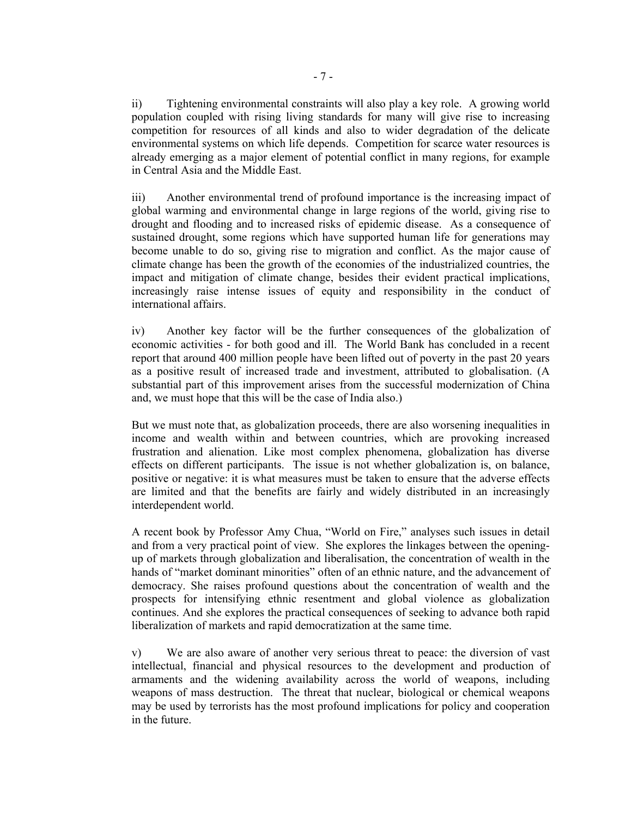ii) Tightening environmental constraints will also play a key role. A growing world population coupled with rising living standards for many will give rise to increasing competition for resources of all kinds and also to wider degradation of the delicate environmental systems on which life depends. Competition for scarce water resources is already emerging as a major element of potential conflict in many regions, for example in Central Asia and the Middle East.

iii) Another environmental trend of profound importance is the increasing impact of global warming and environmental change in large regions of the world, giving rise to drought and flooding and to increased risks of epidemic disease. As a consequence of sustained drought, some regions which have supported human life for generations may become unable to do so, giving rise to migration and conflict. As the major cause of climate change has been the growth of the economies of the industrialized countries, the impact and mitigation of climate change, besides their evident practical implications, increasingly raise intense issues of equity and responsibility in the conduct of international affairs.

iv) Another key factor will be the further consequences of the globalization of economic activities - for both good and ill. The World Bank has concluded in a recent report that around 400 million people have been lifted out of poverty in the past 20 years as a positive result of increased trade and investment, attributed to globalisation. (A substantial part of this improvement arises from the successful modernization of China and, we must hope that this will be the case of India also.)

But we must note that, as globalization proceeds, there are also worsening inequalities in income and wealth within and between countries, which are provoking increased frustration and alienation. Like most complex phenomena, globalization has diverse effects on different participants. The issue is not whether globalization is, on balance, positive or negative: it is what measures must be taken to ensure that the adverse effects are limited and that the benefits are fairly and widely distributed in an increasingly interdependent world.

A recent book by Professor Amy Chua, "World on Fire," analyses such issues in detail and from a very practical point of view. She explores the linkages between the openingup of markets through globalization and liberalisation, the concentration of wealth in the hands of "market dominant minorities" often of an ethnic nature, and the advancement of democracy. She raises profound questions about the concentration of wealth and the prospects for intensifying ethnic resentment and global violence as globalization continues. And she explores the practical consequences of seeking to advance both rapid liberalization of markets and rapid democratization at the same time.

v) We are also aware of another very serious threat to peace: the diversion of vast intellectual, financial and physical resources to the development and production of armaments and the widening availability across the world of weapons, including weapons of mass destruction. The threat that nuclear, biological or chemical weapons may be used by terrorists has the most profound implications for policy and cooperation in the future.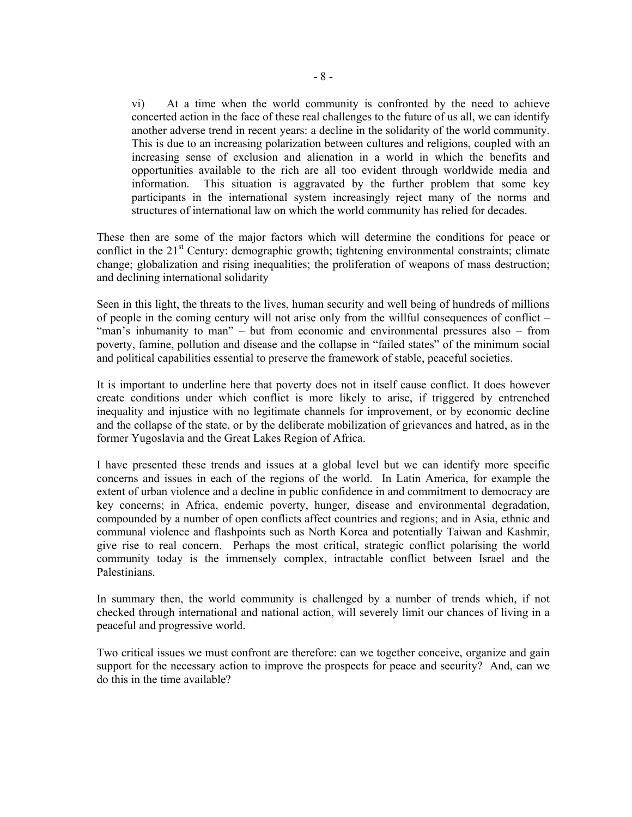vi) At a time when the world community is confronted by the need to achieve concerted action in the face of these real challenges to the future of us all, we can identify another adverse trend in recent years: a decline in the solidarity of the world community. This is due to an increasing polarization between cultures and religions, coupled with an increasing sense of exclusion and alienation in a world in which the benefits and opportunities available to the rich are all too evident through worldwide media and information. This situation is aggravated by the further problem that some key participants in the international system increasingly reject many of the norms and structures of international law on which the world community has relied for decades.

These then are some of the major factors which will determine the conditions for peace or conflict in the  $21<sup>st</sup>$  Century: demographic growth; tightening environmental constraints; climate change; globalization and rising inequalities; the proliferation of weapons of mass destruction; and declining international solidarity

Seen in this light, the threats to the lives, human security and well being of hundreds of millions of people in the coming century will not arise only from the willful consequences of conflict – "man's inhumanity to man" – but from economic and environmental pressures also – from poverty, famine, pollution and disease and the collapse in "failed states" of the minimum social and political capabilities essential to preserve the framework of stable, peaceful societies.

It is important to underline here that poverty does not in itself cause conflict. It does however create conditions under which conflict is more likely to arise, if triggered by entrenched inequality and injustice with no legitimate channels for improvement, or by economic decline and the collapse of the state, or by the deliberate mobilization of grievances and hatred, as in the former Yugoslavia and the Great Lakes Region of Africa.

I have presented these trends and issues at a global level but we can identify more specific concerns and issues in each of the regions of the world. In Latin America, for example the extent of urban violence and a decline in public confidence in and commitment to democracy are key concerns; in Africa, endemic poverty, hunger, disease and environmental degradation, compounded by a number of open conflicts affect countries and regions; and in Asia, ethnic and communal violence and flashpoints such as North Korea and potentially Taiwan and Kashmir, give rise to real concern. Perhaps the most critical, strategic conflict polarising the world community today is the immensely complex, intractable conflict between Israel and the Palestinians.

In summary then, the world community is challenged by a number of trends which, if not checked through international and national action, will severely limit our chances of living in a peaceful and progressive world.

Two critical issues we must confront are therefore: can we together conceive, organize and gain support for the necessary action to improve the prospects for peace and security? And, can we do this in the time available?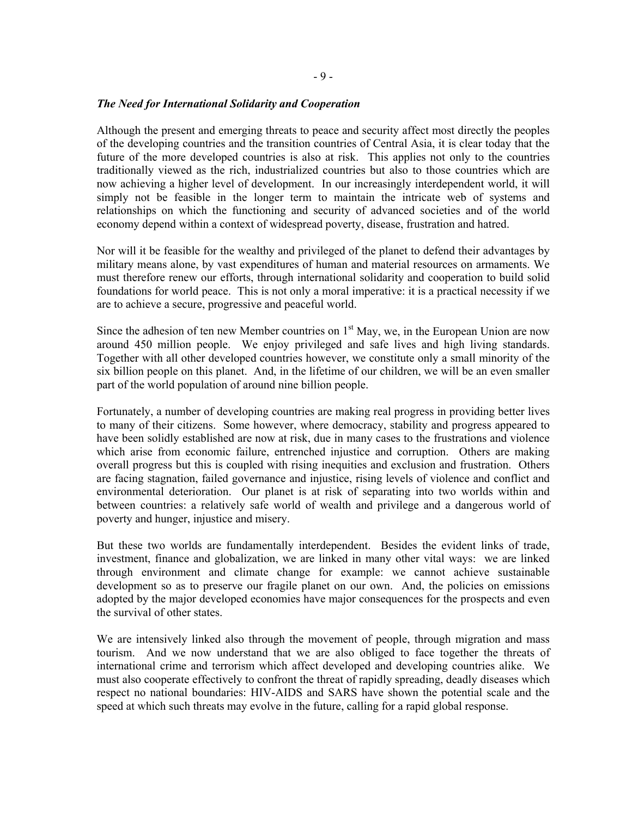#### *The Need for International Solidarity and Cooperation*

Although the present and emerging threats to peace and security affect most directly the peoples of the developing countries and the transition countries of Central Asia, it is clear today that the future of the more developed countries is also at risk. This applies not only to the countries traditionally viewed as the rich, industrialized countries but also to those countries which are now achieving a higher level of development. In our increasingly interdependent world, it will simply not be feasible in the longer term to maintain the intricate web of systems and relationships on which the functioning and security of advanced societies and of the world economy depend within a context of widespread poverty, disease, frustration and hatred.

Nor will it be feasible for the wealthy and privileged of the planet to defend their advantages by military means alone, by vast expenditures of human and material resources on armaments. We must therefore renew our efforts, through international solidarity and cooperation to build solid foundations for world peace. This is not only a moral imperative: it is a practical necessity if we are to achieve a secure, progressive and peaceful world.

Since the adhesion of ten new Member countries on  $1<sup>st</sup>$  May, we, in the European Union are now around 450 million people. We enjoy privileged and safe lives and high living standards. Together with all other developed countries however, we constitute only a small minority of the six billion people on this planet. And, in the lifetime of our children, we will be an even smaller part of the world population of around nine billion people.

Fortunately, a number of developing countries are making real progress in providing better lives to many of their citizens. Some however, where democracy, stability and progress appeared to have been solidly established are now at risk, due in many cases to the frustrations and violence which arise from economic failure, entrenched injustice and corruption. Others are making overall progress but this is coupled with rising inequities and exclusion and frustration. Others are facing stagnation, failed governance and injustice, rising levels of violence and conflict and environmental deterioration. Our planet is at risk of separating into two worlds within and between countries: a relatively safe world of wealth and privilege and a dangerous world of poverty and hunger, injustice and misery.

But these two worlds are fundamentally interdependent. Besides the evident links of trade, investment, finance and globalization, we are linked in many other vital ways: we are linked through environment and climate change for example: we cannot achieve sustainable development so as to preserve our fragile planet on our own. And, the policies on emissions adopted by the major developed economies have major consequences for the prospects and even the survival of other states.

We are intensively linked also through the movement of people, through migration and mass tourism. And we now understand that we are also obliged to face together the threats of international crime and terrorism which affect developed and developing countries alike. We must also cooperate effectively to confront the threat of rapidly spreading, deadly diseases which respect no national boundaries: HIV-AIDS and SARS have shown the potential scale and the speed at which such threats may evolve in the future, calling for a rapid global response.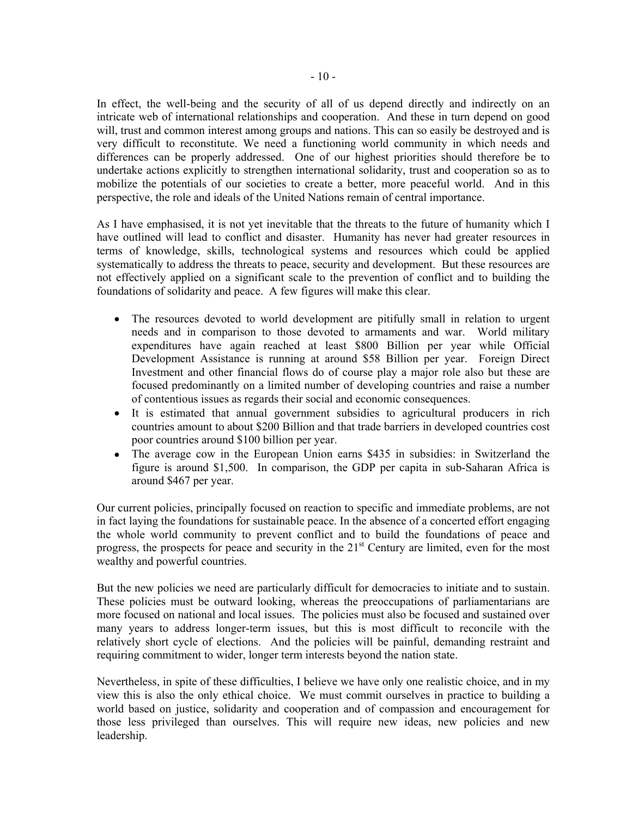In effect, the well-being and the security of all of us depend directly and indirectly on an intricate web of international relationships and cooperation. And these in turn depend on good will, trust and common interest among groups and nations. This can so easily be destroyed and is very difficult to reconstitute. We need a functioning world community in which needs and differences can be properly addressed. One of our highest priorities should therefore be to undertake actions explicitly to strengthen international solidarity, trust and cooperation so as to mobilize the potentials of our societies to create a better, more peaceful world. And in this perspective, the role and ideals of the United Nations remain of central importance.

As I have emphasised, it is not yet inevitable that the threats to the future of humanity which I have outlined will lead to conflict and disaster. Humanity has never had greater resources in terms of knowledge, skills, technological systems and resources which could be applied systematically to address the threats to peace, security and development. But these resources are not effectively applied on a significant scale to the prevention of conflict and to building the foundations of solidarity and peace. A few figures will make this clear.

- The resources devoted to world development are pitifully small in relation to urgent needs and in comparison to those devoted to armaments and war. World military expenditures have again reached at least \$800 Billion per year while Official Development Assistance is running at around \$58 Billion per year. Foreign Direct Investment and other financial flows do of course play a major role also but these are focused predominantly on a limited number of developing countries and raise a number of contentious issues as regards their social and economic consequences.
- It is estimated that annual government subsidies to agricultural producers in rich countries amount to about \$200 Billion and that trade barriers in developed countries cost poor countries around \$100 billion per year.
- The average cow in the European Union earns \$435 in subsidies: in Switzerland the figure is around \$1,500. In comparison, the GDP per capita in sub-Saharan Africa is around \$467 per year.

Our current policies, principally focused on reaction to specific and immediate problems, are not in fact laying the foundations for sustainable peace. In the absence of a concerted effort engaging the whole world community to prevent conflict and to build the foundations of peace and progress, the prospects for peace and security in the  $21<sup>st</sup>$  Century are limited, even for the most wealthy and powerful countries.

But the new policies we need are particularly difficult for democracies to initiate and to sustain. These policies must be outward looking, whereas the preoccupations of parliamentarians are more focused on national and local issues. The policies must also be focused and sustained over many years to address longer-term issues, but this is most difficult to reconcile with the relatively short cycle of elections. And the policies will be painful, demanding restraint and requiring commitment to wider, longer term interests beyond the nation state.

Nevertheless, in spite of these difficulties, I believe we have only one realistic choice, and in my view this is also the only ethical choice. We must commit ourselves in practice to building a world based on justice, solidarity and cooperation and of compassion and encouragement for those less privileged than ourselves. This will require new ideas, new policies and new leadership.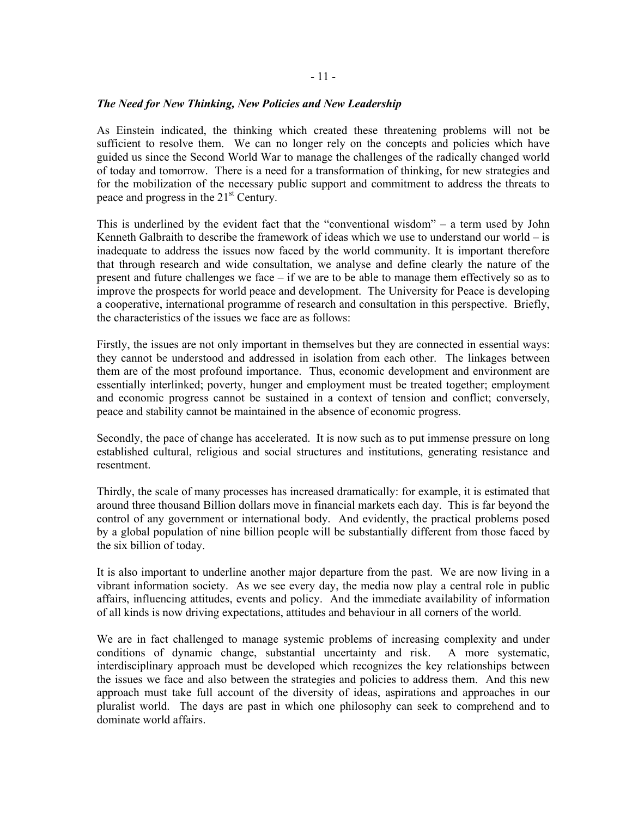#### *The Need for New Thinking, New Policies and New Leadership*

As Einstein indicated, the thinking which created these threatening problems will not be sufficient to resolve them. We can no longer rely on the concepts and policies which have guided us since the Second World War to manage the challenges of the radically changed world of today and tomorrow. There is a need for a transformation of thinking, for new strategies and for the mobilization of the necessary public support and commitment to address the threats to peace and progress in the 21<sup>st</sup> Century.

This is underlined by the evident fact that the "conventional wisdom" – a term used by John Kenneth Galbraith to describe the framework of ideas which we use to understand our world  $-$  is inadequate to address the issues now faced by the world community. It is important therefore that through research and wide consultation, we analyse and define clearly the nature of the present and future challenges we face – if we are to be able to manage them effectively so as to improve the prospects for world peace and development. The University for Peace is developing a cooperative, international programme of research and consultation in this perspective. Briefly, the characteristics of the issues we face are as follows:

Firstly, the issues are not only important in themselves but they are connected in essential ways: they cannot be understood and addressed in isolation from each other. The linkages between them are of the most profound importance. Thus, economic development and environment are essentially interlinked; poverty, hunger and employment must be treated together; employment and economic progress cannot be sustained in a context of tension and conflict; conversely, peace and stability cannot be maintained in the absence of economic progress.

Secondly, the pace of change has accelerated. It is now such as to put immense pressure on long established cultural, religious and social structures and institutions, generating resistance and resentment.

Thirdly, the scale of many processes has increased dramatically: for example, it is estimated that around three thousand Billion dollars move in financial markets each day. This is far beyond the control of any government or international body. And evidently, the practical problems posed by a global population of nine billion people will be substantially different from those faced by the six billion of today.

It is also important to underline another major departure from the past. We are now living in a vibrant information society. As we see every day, the media now play a central role in public affairs, influencing attitudes, events and policy. And the immediate availability of information of all kinds is now driving expectations, attitudes and behaviour in all corners of the world.

We are in fact challenged to manage systemic problems of increasing complexity and under conditions of dynamic change, substantial uncertainty and risk. A more systematic, interdisciplinary approach must be developed which recognizes the key relationships between the issues we face and also between the strategies and policies to address them. And this new approach must take full account of the diversity of ideas, aspirations and approaches in our pluralist world. The days are past in which one philosophy can seek to comprehend and to dominate world affairs.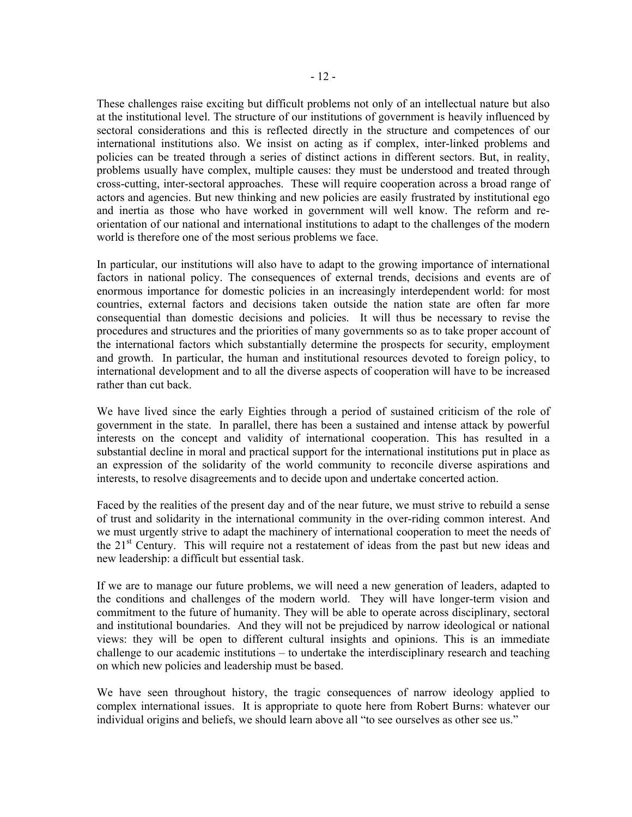These challenges raise exciting but difficult problems not only of an intellectual nature but also at the institutional level. The structure of our institutions of government is heavily influenced by sectoral considerations and this is reflected directly in the structure and competences of our international institutions also. We insist on acting as if complex, inter-linked problems and policies can be treated through a series of distinct actions in different sectors. But, in reality, problems usually have complex, multiple causes: they must be understood and treated through cross-cutting, inter-sectoral approaches. These will require cooperation across a broad range of actors and agencies. But new thinking and new policies are easily frustrated by institutional ego and inertia as those who have worked in government will well know. The reform and reorientation of our national and international institutions to adapt to the challenges of the modern world is therefore one of the most serious problems we face.

In particular, our institutions will also have to adapt to the growing importance of international factors in national policy. The consequences of external trends, decisions and events are of enormous importance for domestic policies in an increasingly interdependent world: for most countries, external factors and decisions taken outside the nation state are often far more consequential than domestic decisions and policies. It will thus be necessary to revise the procedures and structures and the priorities of many governments so as to take proper account of the international factors which substantially determine the prospects for security, employment and growth. In particular, the human and institutional resources devoted to foreign policy, to international development and to all the diverse aspects of cooperation will have to be increased rather than cut back.

We have lived since the early Eighties through a period of sustained criticism of the role of government in the state. In parallel, there has been a sustained and intense attack by powerful interests on the concept and validity of international cooperation. This has resulted in a substantial decline in moral and practical support for the international institutions put in place as an expression of the solidarity of the world community to reconcile diverse aspirations and interests, to resolve disagreements and to decide upon and undertake concerted action.

Faced by the realities of the present day and of the near future, we must strive to rebuild a sense of trust and solidarity in the international community in the over-riding common interest. And we must urgently strive to adapt the machinery of international cooperation to meet the needs of the  $21<sup>st</sup>$  Century. This will require not a restatement of ideas from the past but new ideas and new leadership: a difficult but essential task.

If we are to manage our future problems, we will need a new generation of leaders, adapted to the conditions and challenges of the modern world. They will have longer-term vision and commitment to the future of humanity. They will be able to operate across disciplinary, sectoral and institutional boundaries. And they will not be prejudiced by narrow ideological or national views: they will be open to different cultural insights and opinions. This is an immediate challenge to our academic institutions – to undertake the interdisciplinary research and teaching on which new policies and leadership must be based.

We have seen throughout history, the tragic consequences of narrow ideology applied to complex international issues. It is appropriate to quote here from Robert Burns: whatever our individual origins and beliefs, we should learn above all "to see ourselves as other see us."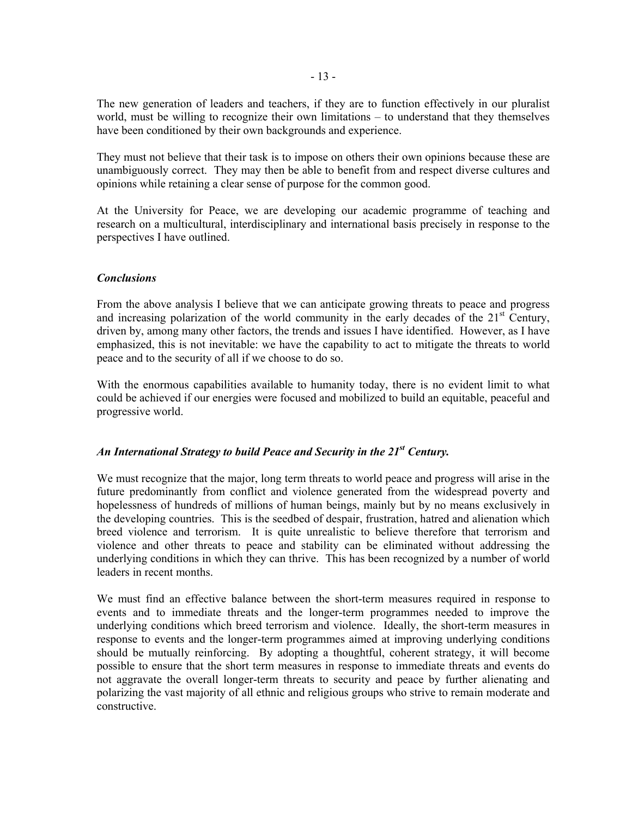The new generation of leaders and teachers, if they are to function effectively in our pluralist world, must be willing to recognize their own limitations – to understand that they themselves have been conditioned by their own backgrounds and experience.

They must not believe that their task is to impose on others their own opinions because these are unambiguously correct. They may then be able to benefit from and respect diverse cultures and opinions while retaining a clear sense of purpose for the common good.

At the University for Peace, we are developing our academic programme of teaching and research on a multicultural, interdisciplinary and international basis precisely in response to the perspectives I have outlined.

# *Conclusions*

From the above analysis I believe that we can anticipate growing threats to peace and progress and increasing polarization of the world community in the early decades of the  $21<sup>st</sup>$  Century, driven by, among many other factors, the trends and issues I have identified. However, as I have emphasized, this is not inevitable: we have the capability to act to mitigate the threats to world peace and to the security of all if we choose to do so.

With the enormous capabilities available to humanity today, there is no evident limit to what could be achieved if our energies were focused and mobilized to build an equitable, peaceful and progressive world.

# *An International Strategy to build Peace and Security in the 21st Century.*

We must recognize that the major, long term threats to world peace and progress will arise in the future predominantly from conflict and violence generated from the widespread poverty and hopelessness of hundreds of millions of human beings, mainly but by no means exclusively in the developing countries. This is the seedbed of despair, frustration, hatred and alienation which breed violence and terrorism. It is quite unrealistic to believe therefore that terrorism and violence and other threats to peace and stability can be eliminated without addressing the underlying conditions in which they can thrive. This has been recognized by a number of world leaders in recent months.

We must find an effective balance between the short-term measures required in response to events and to immediate threats and the longer-term programmes needed to improve the underlying conditions which breed terrorism and violence. Ideally, the short-term measures in response to events and the longer-term programmes aimed at improving underlying conditions should be mutually reinforcing. By adopting a thoughtful, coherent strategy, it will become possible to ensure that the short term measures in response to immediate threats and events do not aggravate the overall longer-term threats to security and peace by further alienating and polarizing the vast majority of all ethnic and religious groups who strive to remain moderate and constructive.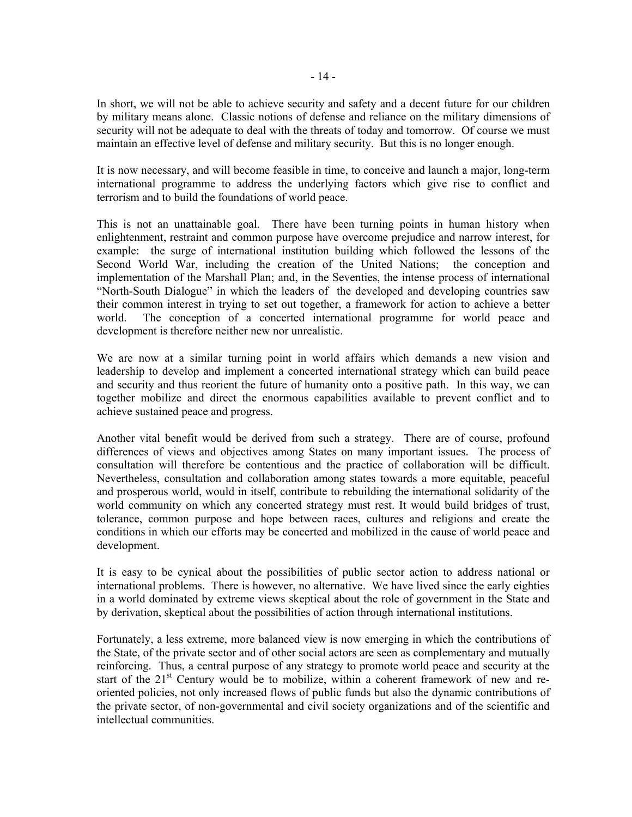In short, we will not be able to achieve security and safety and a decent future for our children by military means alone. Classic notions of defense and reliance on the military dimensions of security will not be adequate to deal with the threats of today and tomorrow. Of course we must maintain an effective level of defense and military security. But this is no longer enough.

It is now necessary, and will become feasible in time, to conceive and launch a major, long-term international programme to address the underlying factors which give rise to conflict and terrorism and to build the foundations of world peace.

This is not an unattainable goal. There have been turning points in human history when enlightenment, restraint and common purpose have overcome prejudice and narrow interest, for example: the surge of international institution building which followed the lessons of the Second World War, including the creation of the United Nations; the conception and implementation of the Marshall Plan; and, in the Seventies, the intense process of international "North-South Dialogue" in which the leaders of the developed and developing countries saw their common interest in trying to set out together, a framework for action to achieve a better world. The conception of a concerted international programme for world peace and development is therefore neither new nor unrealistic.

We are now at a similar turning point in world affairs which demands a new vision and leadership to develop and implement a concerted international strategy which can build peace and security and thus reorient the future of humanity onto a positive path. In this way, we can together mobilize and direct the enormous capabilities available to prevent conflict and to achieve sustained peace and progress.

Another vital benefit would be derived from such a strategy. There are of course, profound differences of views and objectives among States on many important issues. The process of consultation will therefore be contentious and the practice of collaboration will be difficult. Nevertheless, consultation and collaboration among states towards a more equitable, peaceful and prosperous world, would in itself, contribute to rebuilding the international solidarity of the world community on which any concerted strategy must rest. It would build bridges of trust, tolerance, common purpose and hope between races, cultures and religions and create the conditions in which our efforts may be concerted and mobilized in the cause of world peace and development.

It is easy to be cynical about the possibilities of public sector action to address national or international problems. There is however, no alternative. We have lived since the early eighties in a world dominated by extreme views skeptical about the role of government in the State and by derivation, skeptical about the possibilities of action through international institutions.

Fortunately, a less extreme, more balanced view is now emerging in which the contributions of the State, of the private sector and of other social actors are seen as complementary and mutually reinforcing. Thus, a central purpose of any strategy to promote world peace and security at the start of the  $21<sup>st</sup>$  Century would be to mobilize, within a coherent framework of new and reoriented policies, not only increased flows of public funds but also the dynamic contributions of the private sector, of non-governmental and civil society organizations and of the scientific and intellectual communities.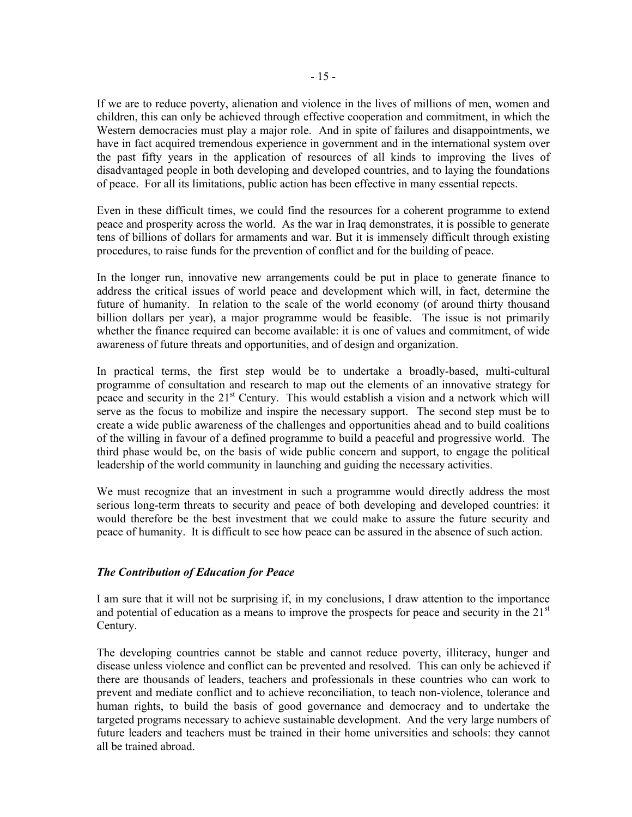If we are to reduce poverty, alienation and violence in the lives of millions of men, women and children, this can only be achieved through effective cooperation and commitment, in which the Western democracies must play a major role. And in spite of failures and disappointments, we have in fact acquired tremendous experience in government and in the international system over the past fifty years in the application of resources of all kinds to improving the lives of disadvantaged people in both developing and developed countries, and to laying the foundations of peace. For all its limitations, public action has been effective in many essential repects.

Even in these difficult times, we could find the resources for a coherent programme to extend peace and prosperity across the world. As the war in Iraq demonstrates, it is possible to generate tens of billions of dollars for armaments and war. But it is immensely difficult through existing procedures, to raise funds for the prevention of conflict and for the building of peace.

In the longer run, innovative new arrangements could be put in place to generate finance to address the critical issues of world peace and development which will, in fact, determine the future of humanity. In relation to the scale of the world economy (of around thirty thousand billion dollars per year), a major programme would be feasible. The issue is not primarily whether the finance required can become available: it is one of values and commitment, of wide awareness of future threats and opportunities, and of design and organization.

In practical terms, the first step would be to undertake a broadly-based, multi-cultural programme of consultation and research to map out the elements of an innovative strategy for peace and security in the 21<sup>st</sup> Century. This would establish a vision and a network which will serve as the focus to mobilize and inspire the necessary support. The second step must be to create a wide public awareness of the challenges and opportunities ahead and to build coalitions of the willing in favour of a defined programme to build a peaceful and progressive world. The third phase would be, on the basis of wide public concern and support, to engage the political leadership of the world community in launching and guiding the necessary activities.

We must recognize that an investment in such a programme would directly address the most serious long-term threats to security and peace of both developing and developed countries: it would therefore be the best investment that we could make to assure the future security and peace of humanity. It is difficult to see how peace can be assured in the absence of such action.

# *The Contribution of Education for Peace*

I am sure that it will not be surprising if, in my conclusions, I draw attention to the importance and potential of education as a means to improve the prospects for peace and security in the  $21<sup>st</sup>$ Century.

The developing countries cannot be stable and cannot reduce poverty, illiteracy, hunger and disease unless violence and conflict can be prevented and resolved. This can only be achieved if there are thousands of leaders, teachers and professionals in these countries who can work to prevent and mediate conflict and to achieve reconciliation, to teach non-violence, tolerance and human rights, to build the basis of good governance and democracy and to undertake the targeted programs necessary to achieve sustainable development. And the very large numbers of future leaders and teachers must be trained in their home universities and schools: they cannot all be trained abroad.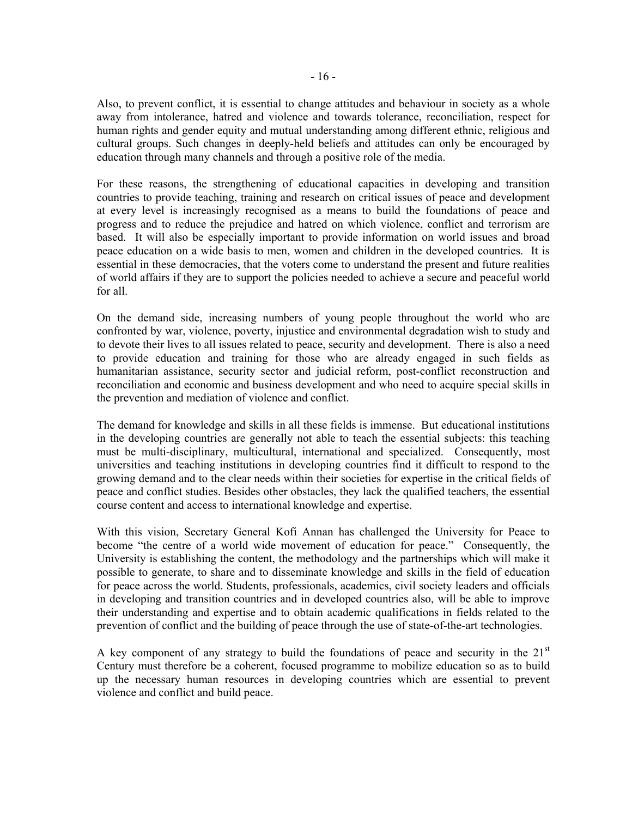Also, to prevent conflict, it is essential to change attitudes and behaviour in society as a whole away from intolerance, hatred and violence and towards tolerance, reconciliation, respect for human rights and gender equity and mutual understanding among different ethnic, religious and cultural groups. Such changes in deeply-held beliefs and attitudes can only be encouraged by education through many channels and through a positive role of the media.

For these reasons, the strengthening of educational capacities in developing and transition countries to provide teaching, training and research on critical issues of peace and development at every level is increasingly recognised as a means to build the foundations of peace and progress and to reduce the prejudice and hatred on which violence, conflict and terrorism are based. It will also be especially important to provide information on world issues and broad peace education on a wide basis to men, women and children in the developed countries. It is essential in these democracies, that the voters come to understand the present and future realities of world affairs if they are to support the policies needed to achieve a secure and peaceful world for all.

On the demand side, increasing numbers of young people throughout the world who are confronted by war, violence, poverty, injustice and environmental degradation wish to study and to devote their lives to all issues related to peace, security and development. There is also a need to provide education and training for those who are already engaged in such fields as humanitarian assistance, security sector and judicial reform, post-conflict reconstruction and reconciliation and economic and business development and who need to acquire special skills in the prevention and mediation of violence and conflict.

The demand for knowledge and skills in all these fields is immense. But educational institutions in the developing countries are generally not able to teach the essential subjects: this teaching must be multi-disciplinary, multicultural, international and specialized. Consequently, most universities and teaching institutions in developing countries find it difficult to respond to the growing demand and to the clear needs within their societies for expertise in the critical fields of peace and conflict studies. Besides other obstacles, they lack the qualified teachers, the essential course content and access to international knowledge and expertise.

With this vision, Secretary General Kofi Annan has challenged the University for Peace to become "the centre of a world wide movement of education for peace." Consequently, the University is establishing the content, the methodology and the partnerships which will make it possible to generate, to share and to disseminate knowledge and skills in the field of education for peace across the world. Students, professionals, academics, civil society leaders and officials in developing and transition countries and in developed countries also, will be able to improve their understanding and expertise and to obtain academic qualifications in fields related to the prevention of conflict and the building of peace through the use of state-of-the-art technologies.

A key component of any strategy to build the foundations of peace and security in the  $21<sup>st</sup>$ Century must therefore be a coherent, focused programme to mobilize education so as to build up the necessary human resources in developing countries which are essential to prevent violence and conflict and build peace.